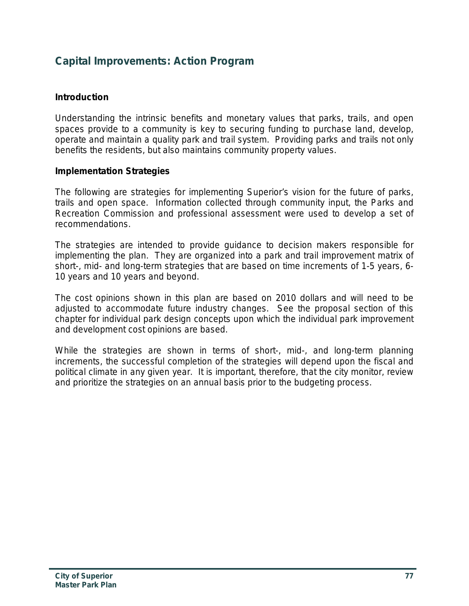## **Capital Improvements: Action Program**

#### **Introduction**

Understanding the intrinsic benefits and monetary values that parks, trails, and open spaces provide to a community is key to securing funding to purchase land, develop, operate and maintain a quality park and trail system. Providing parks and trails not only benefits the residents, but also maintains community property values.

#### **Implementation Strategies**

The following are strategies for implementing Superior's vision for the future of parks, trails and open space. Information collected through community input, the Parks and Recreation Commission and professional assessment were used to develop a set of recommendations.

The strategies are intended to provide guidance to decision makers responsible for implementing the plan. They are organized into a park and trail improvement matrix of short-, mid- and long-term strategies that are based on time increments of 1-5 years, 6- 10 years and 10 years and beyond.

The cost opinions shown in this plan are based on 2010 dollars and will need to be adjusted to accommodate future industry changes. See the proposal section of this chapter for individual park design concepts upon which the individual park improvement and development cost opinions are based.

While the strategies are shown in terms of short-, mid-, and long-term planning increments, the successful completion of the strategies will depend upon the fiscal and political climate in any given year. It is important, therefore, that the city monitor, review and prioritize the strategies on an annual basis prior to the budgeting process.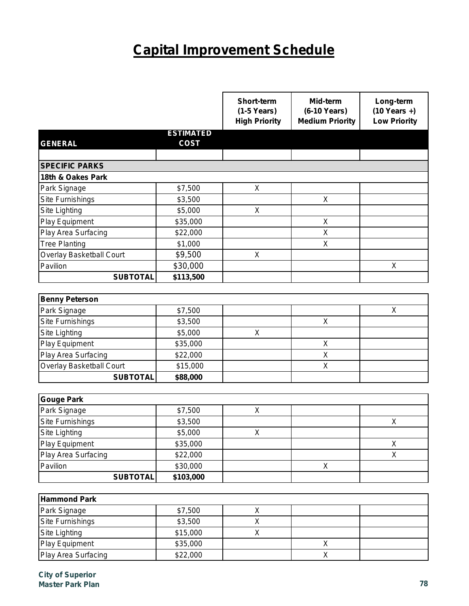# **Capital Improvement Schedule**

|                                 |                  | Short-term<br>$(1-5$ Years)<br><b>High Priority</b> | Mid-term<br>(6-10 Years)<br><b>Medium Priority</b> | Long-term<br>$(10$ Years +)<br><b>Low Priority</b> |
|---------------------------------|------------------|-----------------------------------------------------|----------------------------------------------------|----------------------------------------------------|
|                                 | <b>ESTIMATED</b> |                                                     |                                                    |                                                    |
| <b>GENERAL</b>                  | <b>COST</b>      |                                                     |                                                    |                                                    |
|                                 |                  |                                                     |                                                    |                                                    |
| <b>SPECIFIC PARKS</b>           |                  |                                                     |                                                    |                                                    |
| 18th & Oakes Park               |                  |                                                     |                                                    |                                                    |
| Park Signage                    | \$7,500          | X                                                   |                                                    |                                                    |
| Site Furnishings                | \$3,500          |                                                     | X                                                  |                                                    |
| Site Lighting                   | \$5,000          | $\mathsf{X}$                                        |                                                    |                                                    |
| Play Equipment                  | \$35,000         |                                                     | X                                                  |                                                    |
| Play Area Surfacing             | \$22,000         |                                                     | X                                                  |                                                    |
| <b>Tree Planting</b>            | \$1,000          |                                                     | X                                                  |                                                    |
| <b>Overlay Basketball Court</b> | \$9,500          | X                                                   |                                                    |                                                    |
| Pavilion                        | \$30,000         |                                                     |                                                    | $\sf X$                                            |
| <b>SUBTOTAL</b>                 | \$113,500        |                                                     |                                                    |                                                    |
|                                 |                  |                                                     |                                                    |                                                    |
| <b>Benny Peterson</b>           |                  |                                                     |                                                    |                                                    |
| Park Signage                    | \$7,500          |                                                     |                                                    | X                                                  |
| Site Furnishings                | \$3,500          |                                                     | X                                                  |                                                    |
| Site Lighting                   | \$5,000          | X                                                   |                                                    |                                                    |
| Play Equipment                  | \$35,000         |                                                     | X                                                  |                                                    |
| Play Area Surfacing             | \$22,000         |                                                     | X                                                  |                                                    |
| Overlay Basketball Court        | \$15,000         |                                                     | X                                                  |                                                    |
| <b>SUBTOTAL</b>                 | \$88,000         |                                                     |                                                    |                                                    |
|                                 |                  |                                                     |                                                    |                                                    |
| <b>Gouge Park</b>               |                  |                                                     |                                                    |                                                    |
| Park Signage                    | \$7,500          | X                                                   |                                                    |                                                    |
| Site Furnishings                | \$3,500          |                                                     |                                                    | X                                                  |
| Site Lighting                   | \$5,000          | X                                                   |                                                    |                                                    |
| Play Equipment                  | \$35,000         |                                                     |                                                    | X                                                  |
| Play Area Surfacing             | \$22,000         |                                                     |                                                    | $\boldsymbol{\mathsf{X}}$                          |
| Pavilion                        | \$30,000         |                                                     | $\mathsf{X}$                                       |                                                    |
| <b>SUBTOTAL</b>                 | \$103,000        |                                                     |                                                    |                                                    |
|                                 |                  |                                                     |                                                    |                                                    |
| <b>Hammond Park</b>             |                  |                                                     |                                                    |                                                    |
| Park Signage                    | \$7,500          | X                                                   |                                                    |                                                    |
| Site Furnishings                | \$3,500          | X                                                   |                                                    |                                                    |
| Site Lighting                   | \$15,000         | X                                                   |                                                    |                                                    |
| Play Equipment                  | \$35,000         |                                                     | X                                                  |                                                    |
| Play Area Surfacing             | \$22,000         |                                                     | X                                                  |                                                    |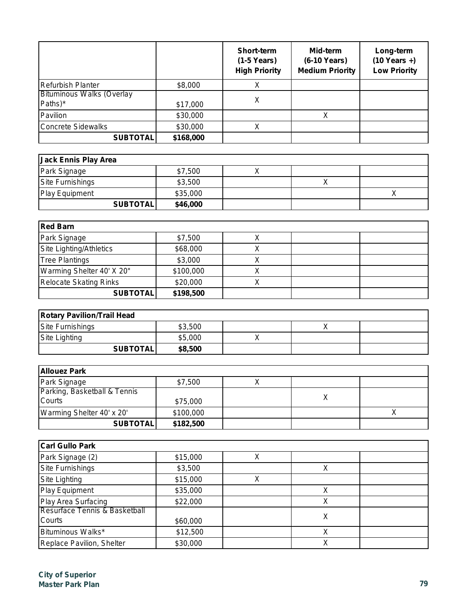|                                             |           | <b>Short-term</b><br>$(1-5$ Years)<br><b>High Priority</b> | Mid-term<br>(6-10 Years)<br><b>Medium Priority</b> | Long-term<br>$(10$ Years +)<br><b>Low Priority</b> |
|---------------------------------------------|-----------|------------------------------------------------------------|----------------------------------------------------|----------------------------------------------------|
| Refurbish Planter                           | \$8,000   |                                                            |                                                    |                                                    |
| <b>Bituminous Walks (Overlay</b><br>Paths)* | \$17,000  | Χ                                                          |                                                    |                                                    |
| Pavilion                                    | \$30,000  |                                                            |                                                    |                                                    |
| <b>Concrete Sidewalks</b>                   | \$30,000  |                                                            |                                                    |                                                    |
| <b>SUBTOTAL</b>                             | \$168,000 |                                                            |                                                    |                                                    |

| Jack Ennis Play Area    |          |  |  |
|-------------------------|----------|--|--|
| Park Signage            | \$7,500  |  |  |
| <b>Site Furnishings</b> | \$3,500  |  |  |
| Play Equipment          | \$35,000 |  |  |
| <b>SUBTOTALI</b>        | \$46,000 |  |  |

| <b>Red Barn</b>               |           |  |  |  |
|-------------------------------|-----------|--|--|--|
| Park Signage                  | \$7,500   |  |  |  |
| Site Lighting/Athletics       | \$68,000  |  |  |  |
| <b>Tree Plantings</b>         | \$3,000   |  |  |  |
| Warming Shelter 40' X 20"     | \$100,000 |  |  |  |
| <b>Relocate Skating Rinks</b> | \$20,000  |  |  |  |
| <b>SUBTOTAL</b>               | \$198,500 |  |  |  |

| <b>Rotary Pavilion/Trail Head</b> |         |  |  |  |
|-----------------------------------|---------|--|--|--|
| <b>Site Furnishings</b>           | \$3,500 |  |  |  |
| Site Lighting                     | \$5,000 |  |  |  |
| <b>SUBTOTAL</b>                   | \$8,500 |  |  |  |

| <b>Allouez Park</b>          |           |  |  |  |
|------------------------------|-----------|--|--|--|
| Park Signage                 | \$7,500   |  |  |  |
| Parking, Basketball & Tennis |           |  |  |  |
| <b>Courts</b>                | \$75,000  |  |  |  |
| Warming Shelter 40' x 20'    | \$100,000 |  |  |  |
| <b>SUBTOTAL</b>              | \$182,500 |  |  |  |

| <b>Carl Gullo Park</b>        |          |   |   |  |
|-------------------------------|----------|---|---|--|
| Park Signage (2)              | \$15,000 | v |   |  |
| Site Furnishings              | \$3,500  |   |   |  |
| Site Lighting                 | \$15,000 | Х |   |  |
| Play Equipment                | \$35,000 |   |   |  |
| Play Area Surfacing           | \$22,000 |   |   |  |
| Resurface Tennis & Basketball |          |   |   |  |
| <b>Courts</b>                 | \$60,000 |   | Х |  |
| Bituminous Walks*             | \$12,500 |   |   |  |
| Replace Pavilion, Shelter     | \$30,000 |   |   |  |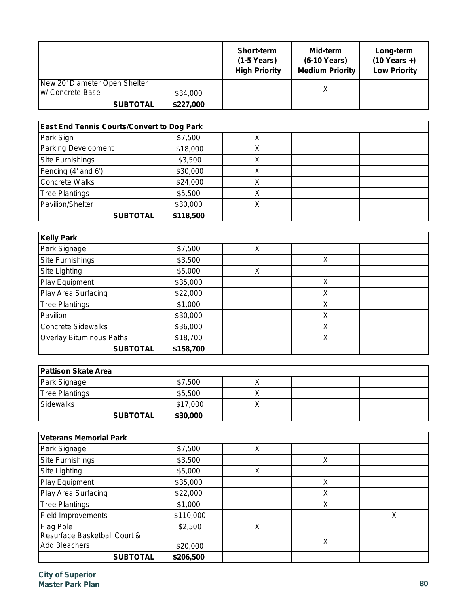|                                                   |           | <b>Short-term</b><br>(1-5 Years)<br><b>High Priority</b> | Mid-term<br>(6-10 Years)<br><b>Medium Priority</b> | Long-term<br>$(10$ Years +)<br><b>Low Priority</b> |
|---------------------------------------------------|-----------|----------------------------------------------------------|----------------------------------------------------|----------------------------------------------------|
| New 20' Diameter Open Shelter<br>w/ Concrete Base | \$34,000  |                                                          |                                                    |                                                    |
| <b>SUBTOTAL</b>                                   | \$227,000 |                                                          |                                                    |                                                    |

| <b>East End Tennis Courts/Convert to Dog Park</b> |           |   |  |  |
|---------------------------------------------------|-----------|---|--|--|
| Park Sign                                         | \$7,500   | Λ |  |  |
| <b>Parking Development</b>                        | \$18,000  | ∧ |  |  |
| Site Furnishings                                  | \$3,500   |   |  |  |
| Fencing (4' and 6')                               | \$30,000  | Χ |  |  |
| Concrete Walks                                    | \$24,000  | х |  |  |
| <b>Tree Plantings</b>                             | \$5,500   | X |  |  |
| Pavilion/Shelter                                  | \$30,000  |   |  |  |
| <b>SUBTOTAL</b>                                   | \$118,500 |   |  |  |

| <b>Kelly Park</b>               |           |   |   |  |
|---------------------------------|-----------|---|---|--|
| Park Signage                    | \$7,500   | Х |   |  |
| <b>Site Furnishings</b>         | \$3,500   |   | Χ |  |
| Site Lighting                   | \$5,000   | Χ |   |  |
| <b>Play Equipment</b>           | \$35,000  |   | X |  |
| Play Area Surfacing             | \$22,000  |   | Χ |  |
| <b>Tree Plantings</b>           | \$1,000   |   | Χ |  |
| Pavilion                        | \$30,000  |   | X |  |
| Concrete Sidewalks              | \$36,000  |   | Χ |  |
| <b>Overlay Bituminous Paths</b> | \$18,700  |   | Χ |  |
| <b>SUBTOTAL</b>                 | \$158,700 |   |   |  |

| <b>Pattison Skate Area</b> |          |  |  |  |
|----------------------------|----------|--|--|--|
| Park Signage               | \$7,500  |  |  |  |
| <b>Tree Plantings</b>      | \$5,500  |  |  |  |
| Sidewalks                  | \$17,000 |  |  |  |
| <b>SUBTOTAL</b>            | \$30,000 |  |  |  |

| <b>Veterans Memorial Park</b> |           |   |   |   |  |
|-------------------------------|-----------|---|---|---|--|
| Park Signage                  | \$7,500   | X |   |   |  |
| <b>Site Furnishings</b>       | \$3,500   |   | Χ |   |  |
| Site Lighting                 | \$5,000   | Χ |   |   |  |
| Play Equipment                | \$35,000  |   | Χ |   |  |
| Play Area Surfacing           | \$22,000  |   | X |   |  |
| <b>Tree Plantings</b>         | \$1,000   |   | X |   |  |
| <b>Field Improvements</b>     | \$110,000 |   |   | Χ |  |
| <b>Flag Pole</b>              | \$2,500   | Χ |   |   |  |
| Resurface Basketball Court &  |           |   |   |   |  |
| <b>Add Bleachers</b>          | \$20,000  |   | Χ |   |  |
| <b>SUBTOTAL</b>               | \$206,500 |   |   |   |  |

*City of Superior Master Park Plan 80*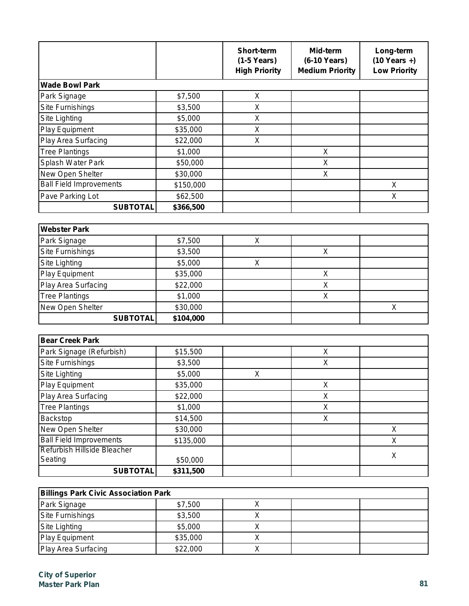|                                                               |           | <b>Short-term</b><br>$(1-5$ Years)<br><b>High Priority</b> | Mid-term<br>(6-10 Years)<br><b>Medium Priority</b> | Long-term<br>$(10$ Years +)<br><b>Low Priority</b> |
|---------------------------------------------------------------|-----------|------------------------------------------------------------|----------------------------------------------------|----------------------------------------------------|
| <b>Wade Bowl Park</b>                                         |           |                                                            |                                                    |                                                    |
| Park Signage                                                  | \$7,500   | Χ                                                          |                                                    |                                                    |
| Site Furnishings                                              | \$3,500   | Χ                                                          |                                                    |                                                    |
| Site Lighting                                                 | \$5,000   | Χ                                                          |                                                    |                                                    |
| Play Equipment                                                | \$35,000  | Χ                                                          |                                                    |                                                    |
| Play Area Surfacing                                           | \$22,000  | X                                                          |                                                    |                                                    |
| <b>Tree Plantings</b>                                         | \$1,000   |                                                            | $\mathsf X$                                        |                                                    |
| Splash Water Park                                             | \$50,000  |                                                            | X                                                  |                                                    |
| New Open Shelter                                              | \$30,000  |                                                            | $\sf X$                                            |                                                    |
| <b>Ball Field Improvements</b>                                | \$150,000 |                                                            |                                                    | X                                                  |
| Pave Parking Lot                                              | \$62,500  |                                                            |                                                    | X                                                  |
| <b>SUBTOTAL</b>                                               | \$366,500 |                                                            |                                                    |                                                    |
|                                                               |           |                                                            |                                                    |                                                    |
| <b>Webster Park</b>                                           |           |                                                            |                                                    |                                                    |
| Park Signage                                                  | \$7,500   | X                                                          |                                                    |                                                    |
| Site Furnishings                                              | \$3,500   |                                                            | $\mathsf{X}$                                       |                                                    |
| Site Lighting                                                 | \$5,000   | X                                                          |                                                    |                                                    |
| Play Equipment                                                | \$35,000  |                                                            | $\sf X$                                            |                                                    |
| Play Area Surfacing                                           | \$22,000  |                                                            | $\mathsf X$                                        |                                                    |
| <b>Tree Plantings</b>                                         | \$1,000   |                                                            | X                                                  |                                                    |
| New Open Shelter                                              | \$30,000  |                                                            |                                                    | X                                                  |
| <b>SUBTOTAL</b>                                               | \$104,000 |                                                            |                                                    |                                                    |
|                                                               |           |                                                            |                                                    |                                                    |
| <b>Bear Creek Park</b>                                        |           |                                                            |                                                    |                                                    |
| Park Signage (Refurbish)                                      | \$15,500  |                                                            | $\sf X$                                            |                                                    |
| Site Furnishings                                              | \$3,500   |                                                            | X                                                  |                                                    |
| Site Lighting                                                 | \$5,000   | X                                                          |                                                    |                                                    |
| <b>Play Equipment</b>                                         | \$35,000  |                                                            | X                                                  |                                                    |
| Play Area Surfacing                                           | \$22,000  |                                                            | X                                                  |                                                    |
| <b>Tree Plantings</b>                                         | \$1,000   |                                                            | X                                                  |                                                    |
| Backstop                                                      | \$14,500  |                                                            | X                                                  |                                                    |
| New Open Shelter                                              | \$30,000  |                                                            |                                                    | X                                                  |
| <b>Ball Field Improvements</b><br>Refurbish Hillside Bleacher | \$135,000 |                                                            |                                                    | $\mathsf{X}$                                       |
| Seating                                                       | \$50,000  |                                                            |                                                    | X                                                  |
|                                                               | \$311,500 |                                                            |                                                    |                                                    |

| <b>Billings Park Civic Association Park</b> |          |  |  |  |
|---------------------------------------------|----------|--|--|--|
| Park Signage                                | \$7,500  |  |  |  |
| Site Furnishings                            | \$3,500  |  |  |  |
| Site Lighting                               | \$5,000  |  |  |  |
| Play Equipment                              | \$35,000 |  |  |  |
| <b>Play Area Surfacing</b>                  | \$22,000 |  |  |  |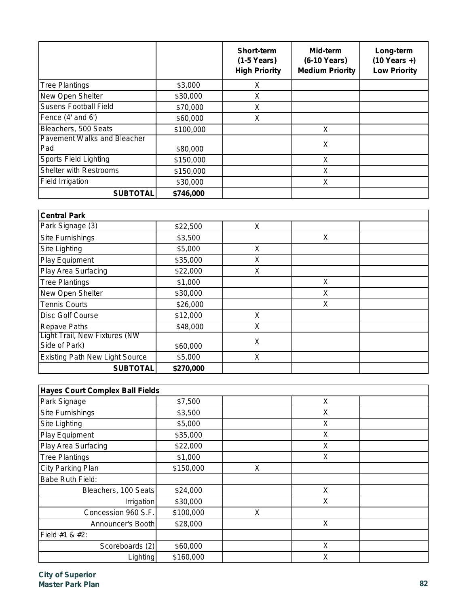|                                           |           | Short-term<br>$(1-5$ Years)<br><b>High Priority</b> | Mid-term<br>(6-10 Years)<br><b>Medium Priority</b> | Long-term<br>$(10$ Years +)<br><b>Low Priority</b> |
|-------------------------------------------|-----------|-----------------------------------------------------|----------------------------------------------------|----------------------------------------------------|
| <b>Tree Plantings</b>                     | \$3,000   | X                                                   |                                                    |                                                    |
| New Open Shelter                          | \$30,000  | X                                                   |                                                    |                                                    |
| <b>Susens Football Field</b>              | \$70,000  | X                                                   |                                                    |                                                    |
| Fence (4' and 6')                         | \$60,000  | X                                                   |                                                    |                                                    |
| Bleachers, 500 Seats                      | \$100,000 |                                                     | X                                                  |                                                    |
| <b>Pavement Walks and Bleacher</b><br>Pad | \$80,000  |                                                     | X                                                  |                                                    |
| <b>Sports Field Lighting</b>              | \$150,000 |                                                     | X                                                  |                                                    |
| <b>Shelter with Restrooms</b>             | \$150,000 |                                                     | X                                                  |                                                    |
| <b>Field Irrigation</b>                   | \$30,000  |                                                     | X                                                  |                                                    |
| <b>SUBTOTAL</b>                           | \$746,000 |                                                     |                                                    |                                                    |

| <b>Central Park</b>                                   |           |   |   |  |
|-------------------------------------------------------|-----------|---|---|--|
| Park Signage (3)                                      | \$22,500  | X |   |  |
| <b>Site Furnishings</b>                               | \$3,500   |   | X |  |
| Site Lighting                                         | \$5,000   | X |   |  |
| Play Equipment                                        | \$35,000  | X |   |  |
| Play Area Surfacing                                   | \$22,000  | X |   |  |
| <b>Tree Plantings</b>                                 | \$1,000   |   | X |  |
| New Open Shelter                                      | \$30,000  |   | X |  |
| <b>Tennis Courts</b>                                  | \$26,000  |   | X |  |
| Disc Golf Course                                      | \$12,000  | X |   |  |
| <b>Repave Paths</b>                                   | \$48,000  | X |   |  |
| <b>Light Trail, New Fixtures (NW</b><br>Side of Park) | \$60,000  | X |   |  |
| <b>Existing Path New Light Source</b>                 | \$5,000   | X |   |  |
| <b>SUBTOTAL</b>                                       | \$270,000 |   |   |  |

| <b>Hayes Court Complex Ball Fields</b> |           |   |   |  |  |
|----------------------------------------|-----------|---|---|--|--|
| Park Signage                           | \$7,500   |   | X |  |  |
| <b>Site Furnishings</b>                | \$3,500   |   | X |  |  |
| Site Lighting                          | \$5,000   |   | X |  |  |
| Play Equipment                         | \$35,000  |   | X |  |  |
| Play Area Surfacing                    | \$22,000  |   | X |  |  |
| <b>Tree Plantings</b>                  | \$1,000   |   | X |  |  |
| City Parking Plan                      | \$150,000 | X |   |  |  |
| <b>Babe Ruth Field:</b>                |           |   |   |  |  |
| Bleachers, 100 Seats                   | \$24,000  |   | X |  |  |
| <b>Irrigation</b>                      | \$30,000  |   | X |  |  |
| Concession 960 S.F.                    | \$100,000 | X |   |  |  |
| Announcer's Booth                      | \$28,000  |   | X |  |  |
| Field #1 & #2:                         |           |   |   |  |  |
| Scoreboards (2)                        | \$60,000  |   | X |  |  |
| Lighting                               | \$160,000 |   | X |  |  |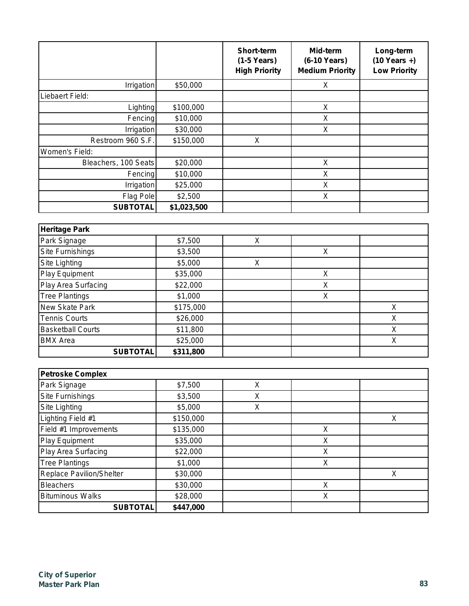|                      |             | <b>Short-term</b><br>$(1-5$ Years)<br><b>High Priority</b> | Mid-term<br>(6-10 Years)<br><b>Medium Priority</b> | Long-term<br>$(10$ Years +)<br><b>Low Priority</b> |
|----------------------|-------------|------------------------------------------------------------|----------------------------------------------------|----------------------------------------------------|
| Irrigation           | \$50,000    |                                                            | X                                                  |                                                    |
| Liebaert Field:      |             |                                                            |                                                    |                                                    |
| Lighting             | \$100,000   |                                                            | X                                                  |                                                    |
| Fencing              | \$10,000    |                                                            | X                                                  |                                                    |
| Irrigation           | \$30,000    |                                                            | X                                                  |                                                    |
| Restroom 960 S.F.    | \$150,000   | X                                                          |                                                    |                                                    |
| Women's Field:       |             |                                                            |                                                    |                                                    |
| Bleachers, 100 Seats | \$20,000    |                                                            | X                                                  |                                                    |
| Fencing              | \$10,000    |                                                            | X                                                  |                                                    |
| Irrigation           | \$25,000    |                                                            | X                                                  |                                                    |
| Flag Pole            | \$2,500     |                                                            | X                                                  |                                                    |
| <b>SUBTOTAL</b>      | \$1,023,500 |                                                            |                                                    |                                                    |

| <b>Heritage Park</b>     |           |   |   |   |
|--------------------------|-----------|---|---|---|
| Park Signage             | \$7,500   | Х |   |   |
| Site Furnishings         | \$3,500   |   | Χ |   |
| Site Lighting            | \$5,000   | Χ |   |   |
| Play Equipment           | \$35,000  |   | X |   |
| Play Area Surfacing      | \$22,000  |   | Χ |   |
| <b>Tree Plantings</b>    | \$1,000   |   | Χ |   |
| New Skate Park           | \$175,000 |   |   | Х |
| <b>Tennis Courts</b>     | \$26,000  |   |   | Х |
| <b>Basketball Courts</b> | \$11,800  |   |   | Χ |
| <b>BMX</b> Area          | \$25,000  |   |   | Х |
| <b>SUBTOTAL</b>          | \$311,800 |   |   |   |

| <b>Petroske Complex</b>         |           |   |   |   |
|---------------------------------|-----------|---|---|---|
| Park Signage                    | \$7,500   | X |   |   |
| Site Furnishings                | \$3,500   | X |   |   |
| Site Lighting                   | \$5,000   | X |   |   |
| Lighting Field #1               | \$150,000 |   |   | X |
| Field #1 Improvements           | \$135,000 |   | X |   |
| Play Equipment                  | \$35,000  |   | Х |   |
| Play Area Surfacing             | \$22,000  |   | X |   |
| <b>Tree Plantings</b>           | \$1,000   |   | X |   |
| <b>Replace Pavilion/Shelter</b> | \$30,000  |   |   | Χ |
| <b>Bleachers</b>                | \$30,000  |   | X |   |
| <b>Bituminous Walks</b>         | \$28,000  |   | Χ |   |
| <b>SUBTOTAL</b>                 | \$447,000 |   |   |   |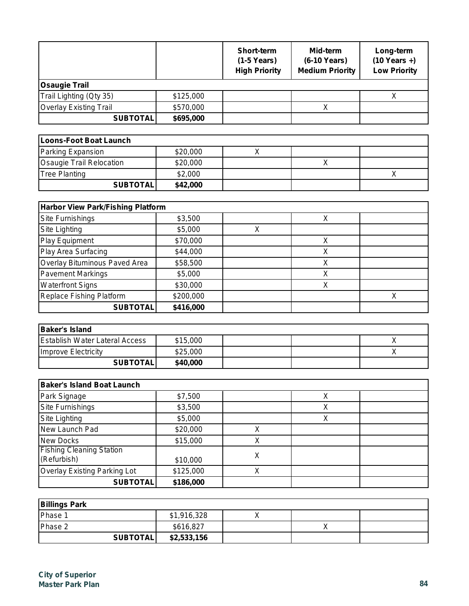|                               |           | <b>Short-term</b><br>$(1-5$ Years)<br><b>High Priority</b> | Mid-term<br>(6-10 Years)<br><b>Medium Priority</b> | Long-term<br>$(10$ Years +)<br><b>Low Priority</b> |
|-------------------------------|-----------|------------------------------------------------------------|----------------------------------------------------|----------------------------------------------------|
| <b>Osaugie Trail</b>          |           |                                                            |                                                    |                                                    |
| Trail Lighting (Qty 35)       | \$125,000 |                                                            |                                                    |                                                    |
| <b>Overlay Existing Trail</b> | \$570,000 |                                                            |                                                    |                                                    |
| <b>SUBTOTAL</b>               | \$695,000 |                                                            |                                                    |                                                    |

| Loons-Foot Boat Launch   |          |  |  |  |
|--------------------------|----------|--|--|--|
| Parking Expansion        | \$20,000 |  |  |  |
| Osaugie Trail Relocation | \$20,000 |  |  |  |
| <b>Tree Planting</b>     | \$2,000  |  |  |  |
| <b>SUBTOTAL</b>          | \$42,000 |  |  |  |

| <b>Harbor View Park/Fishing Platform</b> |           |   |  |  |
|------------------------------------------|-----------|---|--|--|
| <b>Site Furnishings</b>                  | \$3,500   |   |  |  |
| Site Lighting                            | \$5,000   | Χ |  |  |
| Play Equipment                           | \$70,000  |   |  |  |
| Play Area Surfacing                      | \$44,000  |   |  |  |
| Overlay Bituminous Paved Area            | \$58,500  |   |  |  |
| <b>Pavement Markings</b>                 | \$5,000   |   |  |  |
| <b>Waterfront Signs</b>                  | \$30,000  |   |  |  |
| Replace Fishing Platform                 | \$200,000 |   |  |  |
| <b>SUBTOTAL</b>                          | \$416,000 |   |  |  |

| <b>Baker's Island</b>                 |          |  |  |
|---------------------------------------|----------|--|--|
| <b>Establish Water Lateral Access</b> | \$15,000 |  |  |
| Improve Electricity                   | \$25,000 |  |  |
| <b>SUBTOTALI</b>                      | \$40,000 |  |  |

| <b>Baker's Island Boat Launch</b>              |           |   |   |  |
|------------------------------------------------|-----------|---|---|--|
| Park Signage                                   | \$7,500   |   |   |  |
| Site Furnishings                               | \$3,500   |   | Χ |  |
| Site Lighting                                  | \$5,000   |   |   |  |
| New Launch Pad                                 | \$20,000  | Χ |   |  |
| <b>New Docks</b>                               | \$15,000  | Χ |   |  |
| <b>Fishing Cleaning Station</b><br>(Refurbish) | \$10,000  | X |   |  |
| <b>Overlay Existing Parking Lot</b>            | \$125,000 | X |   |  |
| <b>SUBTOTAL</b>                                | \$186,000 |   |   |  |

| <b>Billings Park</b> |             |  |  |
|----------------------|-------------|--|--|
| Phase 1              | \$1,916,328 |  |  |
| Phase 2              | \$616,827   |  |  |
| <b>SUBTOTAL</b>      | \$2,533,156 |  |  |